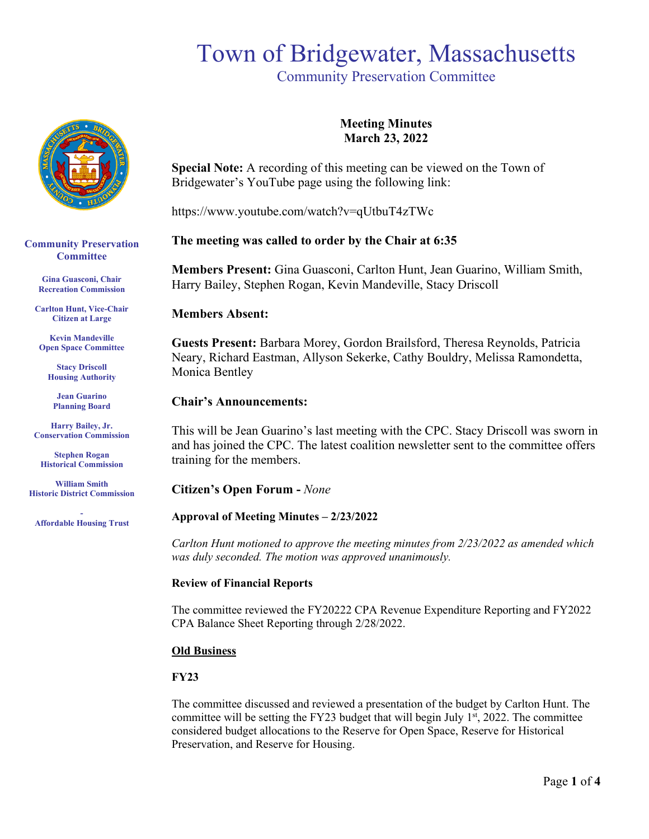## Town of Bridgewater, Massachusetts

Community Preservation Committee



**Community Preservation Committee** 

> **Gina Guasconi, Chair Recreation Commission**

**Carlton Hunt, Vice-Chair Citizen at Large**

**Kevin Mandeville Open Space Committee**

**Stacy Driscoll Housing Authority**

**Jean Guarino Planning Board**

**Harry Bailey, Jr. Conservation Commission** 

**Stephen Rogan Historical Commission**

**William Smith Historic District Commission**

**- Affordable Housing Trust**

### **Meeting Minutes March 23, 2022**

**Special Note:** A recording of this meeting can be viewed on the Town of Bridgewater's YouTube page using the following link:

https://www.youtube.com/watch?v=qUtbuT4zTWc

### **The meeting was called to order by the Chair at 6:35**

**Members Present:** Gina Guasconi, Carlton Hunt, Jean Guarino, William Smith, Harry Bailey, Stephen Rogan, Kevin Mandeville, Stacy Driscoll

### **Members Absent:**

**Guests Present:** Barbara Morey, Gordon Brailsford, Theresa Reynolds, Patricia Neary, Richard Eastman, Allyson Sekerke, Cathy Bouldry, Melissa Ramondetta, Monica Bentley

### **Chair's Announcements:**

This will be Jean Guarino's last meeting with the CPC. Stacy Driscoll was sworn in and has joined the CPC. The latest coalition newsletter sent to the committee offers training for the members.

**Citizen's Open Forum -** *None*

### **Approval of Meeting Minutes – 2/23/2022**

*Carlton Hunt motioned to approve the meeting minutes from 2/23/2022 as amended which was duly seconded. The motion was approved unanimously.* 

### **Review of Financial Reports**

The committee reviewed the FY20222 CPA Revenue Expenditure Reporting and FY2022 CPA Balance Sheet Reporting through 2/28/2022.

### **Old Business**

### **FY23**

The committee discussed and reviewed a presentation of the budget by Carlton Hunt. The committee will be setting the FY23 budget that will begin July  $1<sup>st</sup>$ , 2022. The committee considered budget allocations to the Reserve for Open Space, Reserve for Historical Preservation, and Reserve for Housing.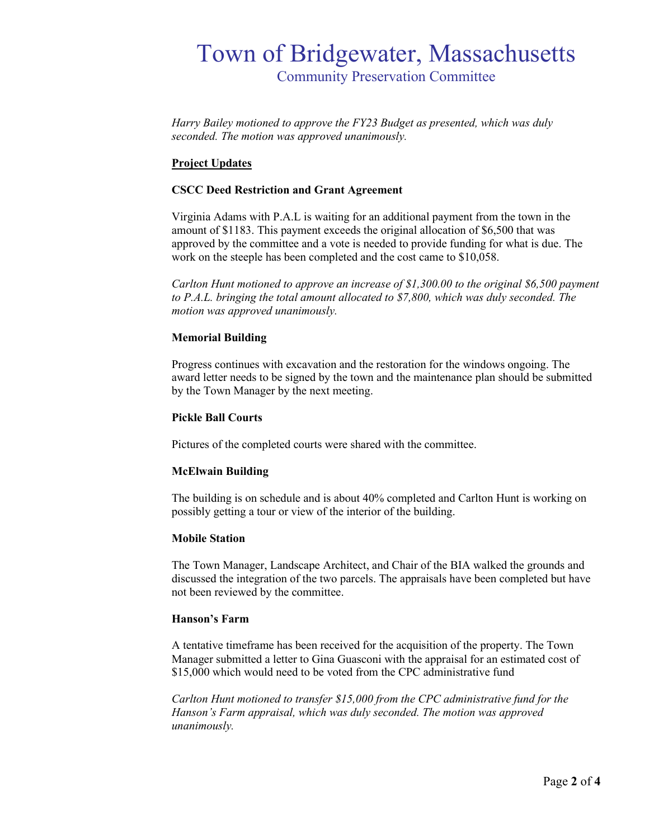### Town of Bridgewater, Massachusetts Community Preservation Committee

*Harry Bailey motioned to approve the FY23 Budget as presented, which was duly seconded. The motion was approved unanimously.*

### **Project Updates**

### **CSCC Deed Restriction and Grant Agreement**

Virginia Adams with P.A.L is waiting for an additional payment from the town in the amount of \$1183. This payment exceeds the original allocation of \$6,500 that was approved by the committee and a vote is needed to provide funding for what is due. The work on the steeple has been completed and the cost came to \$10,058.

*Carlton Hunt motioned to approve an increase of \$1,300.00 to the original \$6,500 payment to P.A.L. bringing the total amount allocated to \$7,800, which was duly seconded. The motion was approved unanimously.*

### **Memorial Building**

Progress continues with excavation and the restoration for the windows ongoing. The award letter needs to be signed by the town and the maintenance plan should be submitted by the Town Manager by the next meeting.

#### **Pickle Ball Courts**

Pictures of the completed courts were shared with the committee.

### **McElwain Building**

The building is on schedule and is about 40% completed and Carlton Hunt is working on possibly getting a tour or view of the interior of the building.

### **Mobile Station**

The Town Manager, Landscape Architect, and Chair of the BIA walked the grounds and discussed the integration of the two parcels. The appraisals have been completed but have not been reviewed by the committee.

### **Hanson's Farm**

A tentative timeframe has been received for the acquisition of the property. The Town Manager submitted a letter to Gina Guasconi with the appraisal for an estimated cost of \$15,000 which would need to be voted from the CPC administrative fund

*Carlton Hunt motioned to transfer \$15,000 from the CPC administrative fund for the Hanson's Farm appraisal, which was duly seconded. The motion was approved unanimously.*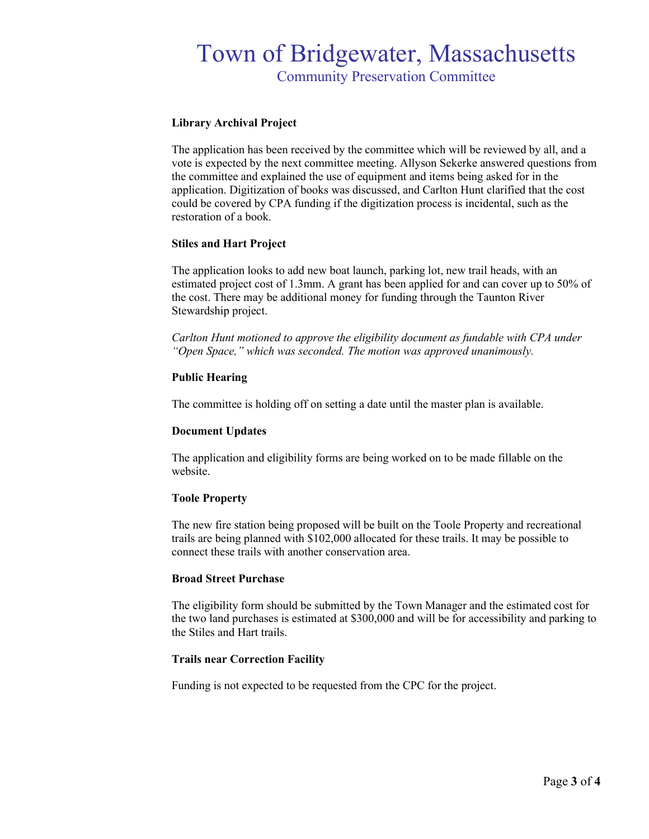### Town of Bridgewater, Massachusetts Community Preservation Committee

### **Library Archival Project**

The application has been received by the committee which will be reviewed by all, and a vote is expected by the next committee meeting. Allyson Sekerke answered questions from the committee and explained the use of equipment and items being asked for in the application. Digitization of books was discussed, and Carlton Hunt clarified that the cost could be covered by CPA funding if the digitization process is incidental, such as the restoration of a book.

### **Stiles and Hart Project**

The application looks to add new boat launch, parking lot, new trail heads, with an estimated project cost of 1.3mm. A grant has been applied for and can cover up to 50% of the cost. There may be additional money for funding through the Taunton River Stewardship project.

*Carlton Hunt motioned to approve the eligibility document as fundable with CPA under "Open Space," which was seconded. The motion was approved unanimously.* 

### **Public Hearing**

The committee is holding off on setting a date until the master plan is available.

### **Document Updates**

The application and eligibility forms are being worked on to be made fillable on the website.

### **Toole Property**

The new fire station being proposed will be built on the Toole Property and recreational trails are being planned with \$102,000 allocated for these trails. It may be possible to connect these trails with another conservation area.

### **Broad Street Purchase**

The eligibility form should be submitted by the Town Manager and the estimated cost for the two land purchases is estimated at \$300,000 and will be for accessibility and parking to the Stiles and Hart trails.

### **Trails near Correction Facility**

Funding is not expected to be requested from the CPC for the project.